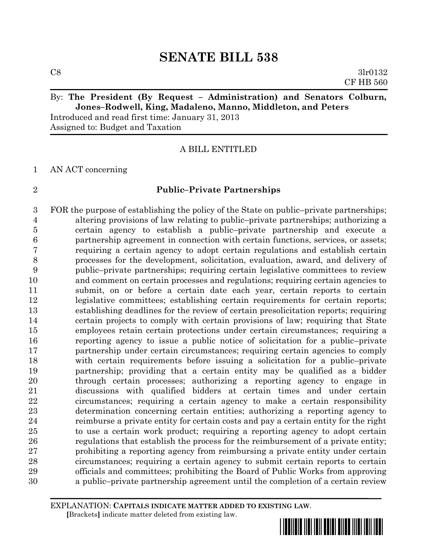$\cos$  3lr0132 CF HB 560

## By: **The President (By Request – Administration) and Senators Colburn, Jones–Rodwell, King, Madaleno, Manno, Middleton, and Peters**

Introduced and read first time: January 31, 2013 Assigned to: Budget and Taxation

## A BILL ENTITLED

#### AN ACT concerning

## **Public–Private Partnerships**

 FOR the purpose of establishing the policy of the State on public–private partnerships; altering provisions of law relating to public–private partnerships; authorizing a certain agency to establish a public–private partnership and execute a partnership agreement in connection with certain functions, services, or assets; requiring a certain agency to adopt certain regulations and establish certain processes for the development, solicitation, evaluation, award, and delivery of public–private partnerships; requiring certain legislative committees to review and comment on certain processes and regulations; requiring certain agencies to submit, on or before a certain date each year, certain reports to certain legislative committees; establishing certain requirements for certain reports; establishing deadlines for the review of certain presolicitation reports; requiring certain projects to comply with certain provisions of law; requiring that State employees retain certain protections under certain circumstances; requiring a reporting agency to issue a public notice of solicitation for a public–private partnership under certain circumstances; requiring certain agencies to comply with certain requirements before issuing a solicitation for a public–private partnership; providing that a certain entity may be qualified as a bidder through certain processes; authorizing a reporting agency to engage in discussions with qualified bidders at certain times and under certain circumstances; requiring a certain agency to make a certain responsibility determination concerning certain entities; authorizing a reporting agency to reimburse a private entity for certain costs and pay a certain entity for the right to use a certain work product; requiring a reporting agency to adopt certain regulations that establish the process for the reimbursement of a private entity; prohibiting a reporting agency from reimbursing a private entity under certain circumstances; requiring a certain agency to submit certain reports to certain officials and committees; prohibiting the Board of Public Works from approving a public–private partnership agreement until the completion of a certain review

EXPLANATION: **CAPITALS INDICATE MATTER ADDED TO EXISTING LAW**.  **[**Brackets**]** indicate matter deleted from existing law.

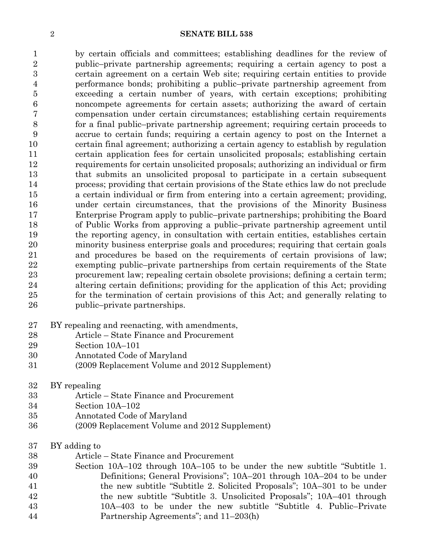by certain officials and committees; establishing deadlines for the review of public–private partnership agreements; requiring a certain agency to post a certain agreement on a certain Web site; requiring certain entities to provide performance bonds; prohibiting a public–private partnership agreement from exceeding a certain number of years, with certain exceptions; prohibiting noncompete agreements for certain assets; authorizing the award of certain compensation under certain circumstances; establishing certain requirements for a final public–private partnership agreement; requiring certain proceeds to accrue to certain funds; requiring a certain agency to post on the Internet a certain final agreement; authorizing a certain agency to establish by regulation certain application fees for certain unsolicited proposals; establishing certain requirements for certain unsolicited proposals; authorizing an individual or firm that submits an unsolicited proposal to participate in a certain subsequent process; providing that certain provisions of the State ethics law do not preclude a certain individual or firm from entering into a certain agreement; providing, under certain circumstances, that the provisions of the Minority Business Enterprise Program apply to public–private partnerships; prohibiting the Board of Public Works from approving a public–private partnership agreement until the reporting agency, in consultation with certain entities, establishes certain minority business enterprise goals and procedures; requiring that certain goals and procedures be based on the requirements of certain provisions of law; exempting public–private partnerships from certain requirements of the State procurement law; repealing certain obsolete provisions; defining a certain term; altering certain definitions; providing for the application of this Act; providing for the termination of certain provisions of this Act; and generally relating to public–private partnerships.

- BY repealing and reenacting, with amendments,
- Article State Finance and Procurement
- Section 10A–101
- Annotated Code of Maryland
- (2009 Replacement Volume and 2012 Supplement)
- BY repealing
- Article State Finance and Procurement
- Section 10A–102
- Annotated Code of Maryland
- (2009 Replacement Volume and 2012 Supplement)
- BY adding to
- Article State Finance and Procurement
- Section 10A–102 through 10A–105 to be under the new subtitle "Subtitle 1. Definitions; General Provisions"; 10A–201 through 10A–204 to be under the new subtitle "Subtitle 2. Solicited Proposals"; 10A–301 to be under the new subtitle "Subtitle 3. Unsolicited Proposals"; 10A–401 through 10A–403 to be under the new subtitle "Subtitle 4. Public–Private Partnership Agreements"; and 11–203(h)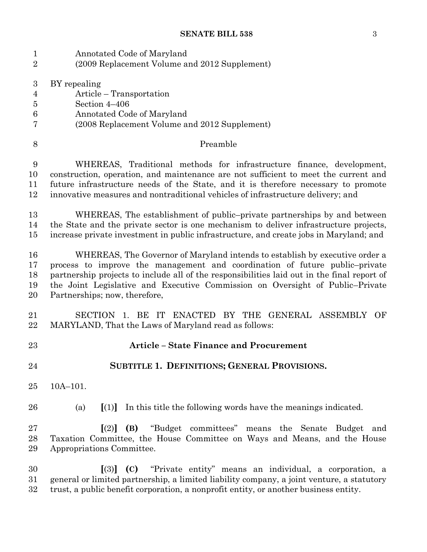Annotated Code of Maryland (2009 Replacement Volume and 2012 Supplement) BY repealing Article – Transportation Section 4–406 Annotated Code of Maryland (2008 Replacement Volume and 2012 Supplement) 8 Preamble WHEREAS, Traditional methods for infrastructure finance, development, construction, operation, and maintenance are not sufficient to meet the current and future infrastructure needs of the State, and it is therefore necessary to promote innovative measures and nontraditional vehicles of infrastructure delivery; and WHEREAS, The establishment of public–private partnerships by and between the State and the private sector is one mechanism to deliver infrastructure projects, increase private investment in public infrastructure, and create jobs in Maryland; and WHEREAS, The Governor of Maryland intends to establish by executive order a process to improve the management and coordination of future public–private partnership projects to include all of the responsibilities laid out in the final report of the Joint Legislative and Executive Commission on Oversight of Public–Private Partnerships; now, therefore, SECTION 1. BE IT ENACTED BY THE GENERAL ASSEMBLY OF MARYLAND, That the Laws of Maryland read as follows: **Article – State Finance and Procurement SUBTITLE 1. DEFINITIONS; GENERAL PROVISIONS.** 10A–101. (a) **[**(1)**]** In this title the following words have the meanings indicated. **[**(2)**] (B)** "Budget committees" means the Senate Budget and Taxation Committee, the House Committee on Ways and Means, and the House Appropriations Committee. **[**(3)**] (C)** "Private entity" means an individual, a corporation, a general or limited partnership, a limited liability company, a joint venture, a statutory trust, a public benefit corporation, a nonprofit entity, or another business entity.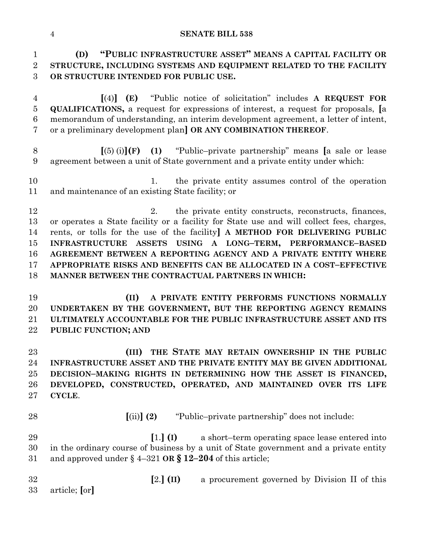**(D) "PUBLIC INFRASTRUCTURE ASSET" MEANS A CAPITAL FACILITY OR STRUCTURE, INCLUDING SYSTEMS AND EQUIPMENT RELATED TO THE FACILITY OR STRUCTURE INTENDED FOR PUBLIC USE.**

 **[**(4)**] (E)** "Public notice of solicitation" includes **A REQUEST FOR QUALIFICATIONS,** a request for expressions of interest, a request for proposals, **[**a memorandum of understanding, an interim development agreement, a letter of intent, or a preliminary development plan**] OR ANY COMBINATION THEREOF**.

 **[**(5) (i)**](F) (1)** "Public–private partnership" means **[**a sale or lease agreement between a unit of State government and a private entity under which:

 1. the private entity assumes control of the operation and maintenance of an existing State facility; or

12 2. the private entity constructs, reconstructs, finances, or operates a State facility or a facility for State use and will collect fees, charges, rents, or tolls for the use of the facility**] A METHOD FOR DELIVERING PUBLIC INFRASTRUCTURE ASSETS USING A LONG–TERM, PERFORMANCE–BASED AGREEMENT BETWEEN A REPORTING AGENCY AND A PRIVATE ENTITY WHERE APPROPRIATE RISKS AND BENEFITS CAN BE ALLOCATED IN A COST–EFFECTIVE MANNER BETWEEN THE CONTRACTUAL PARTNERS IN WHICH:**

 **(II) A PRIVATE ENTITY PERFORMS FUNCTIONS NORMALLY UNDERTAKEN BY THE GOVERNMENT, BUT THE REPORTING AGENCY REMAINS ULTIMATELY ACCOUNTABLE FOR THE PUBLIC INFRASTRUCTURE ASSET AND ITS PUBLIC FUNCTION; AND**

 **(III) THE STATE MAY RETAIN OWNERSHIP IN THE PUBLIC INFRASTRUCTURE ASSET AND THE PRIVATE ENTITY MAY BE GIVEN ADDITIONAL DECISION–MAKING RIGHTS IN DETERMINING HOW THE ASSET IS FINANCED, DEVELOPED, CONSTRUCTED, OPERATED, AND MAINTAINED OVER ITS LIFE CYCLE**.

**[**(ii)**] (2)** "Public–private partnership" does not include:

 **[**1.**] (I)** a short–term operating space lease entered into in the ordinary course of business by a unit of State government and a private entity and approved under § 4–321 **OR § 12–204** of this article;

 **[**2.**] (II)** a procurement governed by Division II of this article; **[**or**]**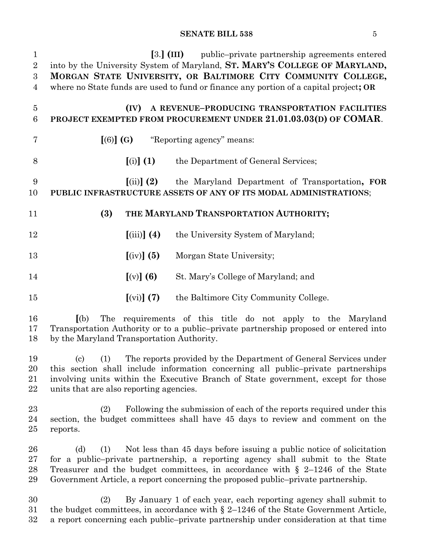| $\mathbf{1}$                       | $[3.]$ (III)<br>public-private partnership agreements entered                                                                                                                                                                                                                                                                                |
|------------------------------------|----------------------------------------------------------------------------------------------------------------------------------------------------------------------------------------------------------------------------------------------------------------------------------------------------------------------------------------------|
| $\overline{2}$                     | into by the University System of Maryland, ST. MARY'S COLLEGE OF MARYLAND,                                                                                                                                                                                                                                                                   |
| $\boldsymbol{3}$<br>$\overline{4}$ | MORGAN STATE UNIVERSITY, OR BALTIMORE CITY COMMUNITY COLLEGE,<br>where no State funds are used to fund or finance any portion of a capital project; OR                                                                                                                                                                                       |
|                                    |                                                                                                                                                                                                                                                                                                                                              |
| $\overline{5}$                     | A REVENUE-PRODUCING TRANSPORTATION FACILITIES<br>(IV)                                                                                                                                                                                                                                                                                        |
| 6                                  | PROJECT EXEMPTED FROM PROCUREMENT UNDER 21.01.03.03(D) OF COMAR.                                                                                                                                                                                                                                                                             |
| 7                                  | "Reporting agency" means:<br>$[(6)]$ $(G)$                                                                                                                                                                                                                                                                                                   |
| 8                                  | $\left[\left(i\right)\right]$ (1)<br>the Department of General Services;                                                                                                                                                                                                                                                                     |
| 9<br>10                            | the Maryland Department of Transportation, FOR<br>$\left[ \mathrm{(ii)}\right]$ (2)<br>PUBLIC INFRASTRUCTURE ASSETS OF ANY OF ITS MODAL ADMINISTRATIONS;                                                                                                                                                                                     |
| 11                                 | (3)<br>THE MARYLAND TRANSPORTATION AUTHORITY;                                                                                                                                                                                                                                                                                                |
| 12                                 | $(iii)$ (4)<br>the University System of Maryland;                                                                                                                                                                                                                                                                                            |
| 13                                 | $\left[\text{(iv)}\right]$ (5)<br>Morgan State University;                                                                                                                                                                                                                                                                                   |
| 14                                 | $[(v)]$ (6)<br>St. Mary's College of Maryland; and                                                                                                                                                                                                                                                                                           |
| 15                                 | $\left[\text{(vi)}\right]$ (7)<br>the Baltimore City Community College.                                                                                                                                                                                                                                                                      |
| 16<br>17<br>18                     | The requirements of this title do not apply to the Maryland<br>(a)<br>Transportation Authority or to a public-private partnership proposed or entered into<br>by the Maryland Transportation Authority.                                                                                                                                      |
| 19<br>20<br>21<br>22               | (1)<br>The reports provided by the Department of General Services under<br>$\left( \mathrm{c}\right)$<br>this section shall include information concerning all public-private partnerships<br>involving units within the Executive Branch of State government, except for those<br>units that are also reporting agencies.                   |
| 23<br>24<br>25                     | (2)<br>Following the submission of each of the reports required under this<br>section, the budget committees shall have 45 days to review and comment on the<br>reports.                                                                                                                                                                     |
| 26<br>27<br>28<br>29               | Not less than 45 days before issuing a public notice of solicitation<br>(d)<br>(1)<br>for a public-private partnership, a reporting agency shall submit to the State<br>Treasurer and the budget committees, in accordance with $\S$ 2-1246 of the State<br>Government Article, a report concerning the proposed public-private partnership. |
| 30<br>$31\,$                       | By January 1 of each year, each reporting agency shall submit to<br>(2)<br>the budget committees, in accordance with $\S 2-1246$ of the State Government Article,                                                                                                                                                                            |

a report concerning each public–private partnership under consideration at that time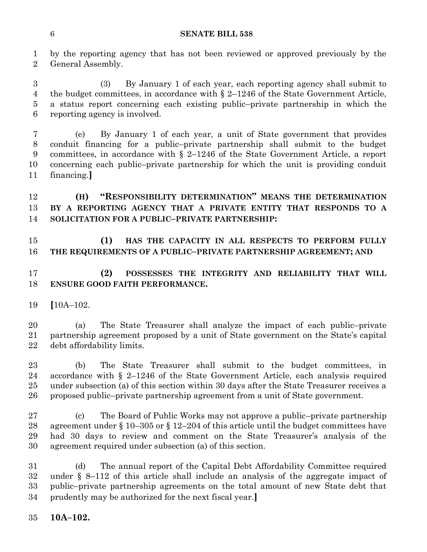by the reporting agency that has not been reviewed or approved previously by the General Assembly.

 (3) By January 1 of each year, each reporting agency shall submit to the budget committees, in accordance with § 2–1246 of the State Government Article, a status report concerning each existing public–private partnership in which the reporting agency is involved.

 (e) By January 1 of each year, a unit of State government that provides conduit financing for a public–private partnership shall submit to the budget committees, in accordance with § 2–1246 of the State Government Article, a report concerning each public–private partnership for which the unit is providing conduit financing.**]**

## **(H) "RESPONSIBILITY DETERMINATION" MEANS THE DETERMINATION BY A REPORTING AGENCY THAT A PRIVATE ENTITY THAT RESPONDS TO A SOLICITATION FOR A PUBLIC–PRIVATE PARTNERSHIP:**

## **(1) HAS THE CAPACITY IN ALL RESPECTS TO PERFORM FULLY THE REQUIREMENTS OF A PUBLIC–PRIVATE PARTNERSHIP AGREEMENT; AND**

## **(2) POSSESSES THE INTEGRITY AND RELIABILITY THAT WILL ENSURE GOOD FAITH PERFORMANCE.**

**[**10A–102.

 (a) The State Treasurer shall analyze the impact of each public–private partnership agreement proposed by a unit of State government on the State's capital debt affordability limits.

 (b) The State Treasurer shall submit to the budget committees, in accordance with § 2–1246 of the State Government Article, each analysis required under subsection (a) of this section within 30 days after the State Treasurer receives a proposed public–private partnership agreement from a unit of State government.

 (c) The Board of Public Works may not approve a public–private partnership agreement under § 10–305 or § 12–204 of this article until the budget committees have had 30 days to review and comment on the State Treasurer's analysis of the agreement required under subsection (a) of this section.

 (d) The annual report of the Capital Debt Affordability Committee required under § 8–112 of this article shall include an analysis of the aggregate impact of public–private partnership agreements on the total amount of new State debt that prudently may be authorized for the next fiscal year.**]**

**10A–102.**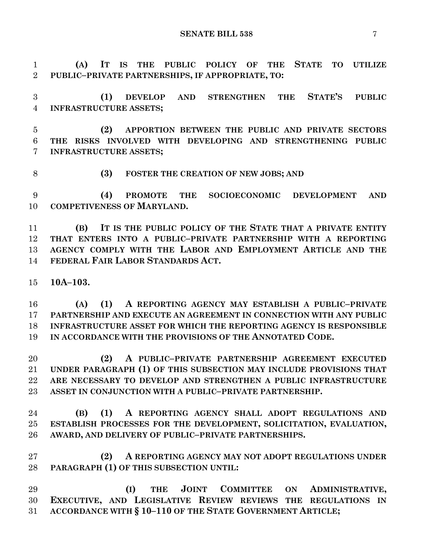**(A) IT IS THE PUBLIC POLICY OF THE STATE TO UTILIZE PUBLIC–PRIVATE PARTNERSHIPS, IF APPROPRIATE, TO:**

 **(1) DEVELOP AND STRENGTHEN THE STATE'S PUBLIC INFRASTRUCTURE ASSETS;**

 **(2) APPORTION BETWEEN THE PUBLIC AND PRIVATE SECTORS THE RISKS INVOLVED WITH DEVELOPING AND STRENGTHENING PUBLIC INFRASTRUCTURE ASSETS;**

**(3) FOSTER THE CREATION OF NEW JOBS; AND**

 **(4) PROMOTE THE SOCIOECONOMIC DEVELOPMENT AND COMPETIVENESS OF MARYLAND.**

 **(B) IT IS THE PUBLIC POLICY OF THE STATE THAT A PRIVATE ENTITY THAT ENTERS INTO A PUBLIC–PRIVATE PARTNERSHIP WITH A REPORTING AGENCY COMPLY WITH THE LABOR AND EMPLOYMENT ARTICLE AND THE FEDERAL FAIR LABOR STANDARDS ACT.**

**10A–103.**

 **(A) (1) A REPORTING AGENCY MAY ESTABLISH A PUBLIC–PRIVATE PARTNERSHIP AND EXECUTE AN AGREEMENT IN CONNECTION WITH ANY PUBLIC INFRASTRUCTURE ASSET FOR WHICH THE REPORTING AGENCY IS RESPONSIBLE IN ACCORDANCE WITH THE PROVISIONS OF THE ANNOTATED CODE.**

 **(2) A PUBLIC–PRIVATE PARTNERSHIP AGREEMENT EXECUTED UNDER PARAGRAPH (1) OF THIS SUBSECTION MAY INCLUDE PROVISIONS THAT ARE NECESSARY TO DEVELOP AND STRENGTHEN A PUBLIC INFRASTRUCTURE ASSET IN CONJUNCTION WITH A PUBLIC–PRIVATE PARTNERSHIP.**

 **(B) (1) A REPORTING AGENCY SHALL ADOPT REGULATIONS AND ESTABLISH PROCESSES FOR THE DEVELOPMENT, SOLICITATION, EVALUATION, AWARD, AND DELIVERY OF PUBLIC–PRIVATE PARTNERSHIPS.**

 **(2) A REPORTING AGENCY MAY NOT ADOPT REGULATIONS UNDER PARAGRAPH (1) OF THIS SUBSECTION UNTIL:**

 **(I) THE JOINT COMMITTEE ON ADMINISTRATIVE, EXECUTIVE, AND LEGISLATIVE REVIEW REVIEWS THE REGULATIONS IN ACCORDANCE WITH § 10–110 OF THE STATE GOVERNMENT ARTICLE;**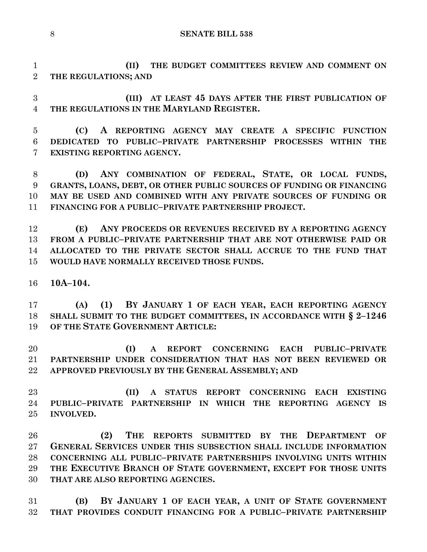**(II) THE BUDGET COMMITTEES REVIEW AND COMMENT ON THE REGULATIONS; AND**

 **(III) AT LEAST 45 DAYS AFTER THE FIRST PUBLICATION OF THE REGULATIONS IN THE MARYLAND REGISTER.**

 **(C) A REPORTING AGENCY MAY CREATE A SPECIFIC FUNCTION DEDICATED TO PUBLIC–PRIVATE PARTNERSHIP PROCESSES WITHIN THE EXISTING REPORTING AGENCY.**

 **(D) ANY COMBINATION OF FEDERAL, STATE, OR LOCAL FUNDS, GRANTS, LOANS, DEBT, OR OTHER PUBLIC SOURCES OF FUNDING OR FINANCING MAY BE USED AND COMBINED WITH ANY PRIVATE SOURCES OF FUNDING OR FINANCING FOR A PUBLIC–PRIVATE PARTNERSHIP PROJECT.**

 **(E) ANY PROCEEDS OR REVENUES RECEIVED BY A REPORTING AGENCY FROM A PUBLIC–PRIVATE PARTNERSHIP THAT ARE NOT OTHERWISE PAID OR ALLOCATED TO THE PRIVATE SECTOR SHALL ACCRUE TO THE FUND THAT WOULD HAVE NORMALLY RECEIVED THOSE FUNDS.**

**10A–104.**

 **(A) (1) BY JANUARY 1 OF EACH YEAR, EACH REPORTING AGENCY SHALL SUBMIT TO THE BUDGET COMMITTEES, IN ACCORDANCE WITH § 2–1246 OF THE STATE GOVERNMENT ARTICLE:**

 **(I) A REPORT CONCERNING EACH PUBLIC–PRIVATE PARTNERSHIP UNDER CONSIDERATION THAT HAS NOT BEEN REVIEWED OR APPROVED PREVIOUSLY BY THE GENERAL ASSEMBLY; AND**

 **(II) A STATUS REPORT CONCERNING EACH EXISTING PUBLIC–PRIVATE PARTNERSHIP IN WHICH THE REPORTING AGENCY IS INVOLVED.**

 **(2) THE REPORTS SUBMITTED BY THE DEPARTMENT OF GENERAL SERVICES UNDER THIS SUBSECTION SHALL INCLUDE INFORMATION CONCERNING ALL PUBLIC–PRIVATE PARTNERSHIPS INVOLVING UNITS WITHIN THE EXECUTIVE BRANCH OF STATE GOVERNMENT, EXCEPT FOR THOSE UNITS THAT ARE ALSO REPORTING AGENCIES.**

 **(B) BY JANUARY 1 OF EACH YEAR, A UNIT OF STATE GOVERNMENT THAT PROVIDES CONDUIT FINANCING FOR A PUBLIC–PRIVATE PARTNERSHIP**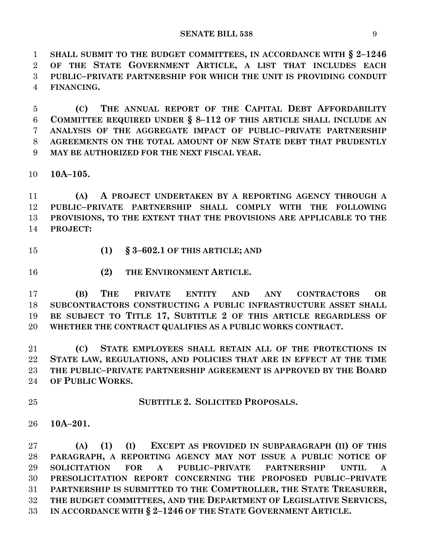**SHALL SUBMIT TO THE BUDGET COMMITTEES, IN ACCORDANCE WITH § 2–1246 OF THE STATE GOVERNMENT ARTICLE, A LIST THAT INCLUDES EACH PUBLIC–PRIVATE PARTNERSHIP FOR WHICH THE UNIT IS PROVIDING CONDUIT FINANCING.**

 **(C) THE ANNUAL REPORT OF THE CAPITAL DEBT AFFORDABILITY COMMITTEE REQUIRED UNDER § 8–112 OF THIS ARTICLE SHALL INCLUDE AN ANALYSIS OF THE AGGREGATE IMPACT OF PUBLIC–PRIVATE PARTNERSHIP AGREEMENTS ON THE TOTAL AMOUNT OF NEW STATE DEBT THAT PRUDENTLY MAY BE AUTHORIZED FOR THE NEXT FISCAL YEAR.**

**10A–105.**

 **(A) A PROJECT UNDERTAKEN BY A REPORTING AGENCY THROUGH A PUBLIC–PRIVATE PARTNERSHIP SHALL COMPLY WITH THE FOLLOWING PROVISIONS, TO THE EXTENT THAT THE PROVISIONS ARE APPLICABLE TO THE PROJECT:**

**(1) § 3–602.1 OF THIS ARTICLE; AND**

**(2) THE ENVIRONMENT ARTICLE.**

 **(B) THE PRIVATE ENTITY AND ANY CONTRACTORS OR SUBCONTRACTORS CONSTRUCTING A PUBLIC INFRASTRUCTURE ASSET SHALL BE SUBJECT TO TITLE 17, SUBTITLE 2 OF THIS ARTICLE REGARDLESS OF WHETHER THE CONTRACT QUALIFIES AS A PUBLIC WORKS CONTRACT.**

 **(C) STATE EMPLOYEES SHALL RETAIN ALL OF THE PROTECTIONS IN STATE LAW, REGULATIONS, AND POLICIES THAT ARE IN EFFECT AT THE TIME THE PUBLIC–PRIVATE PARTNERSHIP AGREEMENT IS APPROVED BY THE BOARD OF PUBLIC WORKS.**

**SUBTITLE 2. SOLICITED PROPOSALS.**

**10A–201.**

 **(A) (1) (I) EXCEPT AS PROVIDED IN SUBPARAGRAPH (II) OF THIS PARAGRAPH, A REPORTING AGENCY MAY NOT ISSUE A PUBLIC NOTICE OF SOLICITATION FOR A PUBLIC–PRIVATE PARTNERSHIP UNTIL A PRESOLICITATION REPORT CONCERNING THE PROPOSED PUBLIC–PRIVATE PARTNERSHIP IS SUBMITTED TO THE COMPTROLLER, THE STATE TREASURER, THE BUDGET COMMITTEES, AND THE DEPARTMENT OF LEGISLATIVE SERVICES, IN ACCORDANCE WITH § 2–1246 OF THE STATE GOVERNMENT ARTICLE.**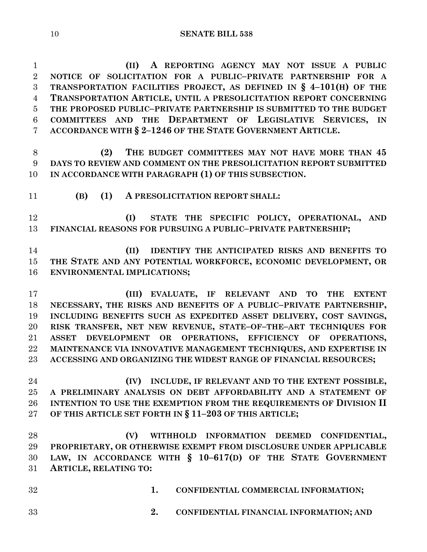**(II) A REPORTING AGENCY MAY NOT ISSUE A PUBLIC NOTICE OF SOLICITATION FOR A PUBLIC–PRIVATE PARTNERSHIP FOR A TRANSPORTATION FACILITIES PROJECT, AS DEFINED IN § 4–101(H) OF THE TRANSPORTATION ARTICLE, UNTIL A PRESOLICITATION REPORT CONCERNING THE PROPOSED PUBLIC–PRIVATE PARTNERSHIP IS SUBMITTED TO THE BUDGET COMMITTEES AND THE DEPARTMENT OF LEGISLATIVE SERVICES, IN ACCORDANCE WITH § 2–1246 OF THE STATE GOVERNMENT ARTICLE.**

 **(2) THE BUDGET COMMITTEES MAY NOT HAVE MORE THAN 45 DAYS TO REVIEW AND COMMENT ON THE PRESOLICITATION REPORT SUBMITTED IN ACCORDANCE WITH PARAGRAPH (1) OF THIS SUBSECTION.**

**(B) (1) A PRESOLICITATION REPORT SHALL:**

 **(I) STATE THE SPECIFIC POLICY, OPERATIONAL, AND FINANCIAL REASONS FOR PURSUING A PUBLIC–PRIVATE PARTNERSHIP;**

 **(II) IDENTIFY THE ANTICIPATED RISKS AND BENEFITS TO THE STATE AND ANY POTENTIAL WORKFORCE, ECONOMIC DEVELOPMENT, OR ENVIRONMENTAL IMPLICATIONS;**

 **(III) EVALUATE, IF RELEVANT AND TO THE EXTENT NECESSARY, THE RISKS AND BENEFITS OF A PUBLIC–PRIVATE PARTNERSHIP, INCLUDING BENEFITS SUCH AS EXPEDITED ASSET DELIVERY, COST SAVINGS, RISK TRANSFER, NET NEW REVENUE, STATE–OF–THE–ART TECHNIQUES FOR ASSET DEVELOPMENT OR OPERATIONS, EFFICIENCY OF OPERATIONS, MAINTENANCE VIA INNOVATIVE MANAGEMENT TECHNIQUES, AND EXPERTISE IN ACCESSING AND ORGANIZING THE WIDEST RANGE OF FINANCIAL RESOURCES;**

 **(IV) INCLUDE, IF RELEVANT AND TO THE EXTENT POSSIBLE, A PRELIMINARY ANALYSIS ON DEBT AFFORDABILITY AND A STATEMENT OF INTENTION TO USE THE EXEMPTION FROM THE REQUIREMENTS OF DIVISION II OF THIS ARTICLE SET FORTH IN § 11–203 OF THIS ARTICLE;**

 **(V) WITHHOLD INFORMATION DEEMED CONFIDENTIAL, PROPRIETARY, OR OTHERWISE EXEMPT FROM DISCLOSURE UNDER APPLICABLE LAW, IN ACCORDANCE WITH § 10–617(D) OF THE STATE GOVERNMENT ARTICLE, RELATING TO:**

- **1. CONFIDENTIAL COMMERCIAL INFORMATION;**
- 
- **2. CONFIDENTIAL FINANCIAL INFORMATION; AND**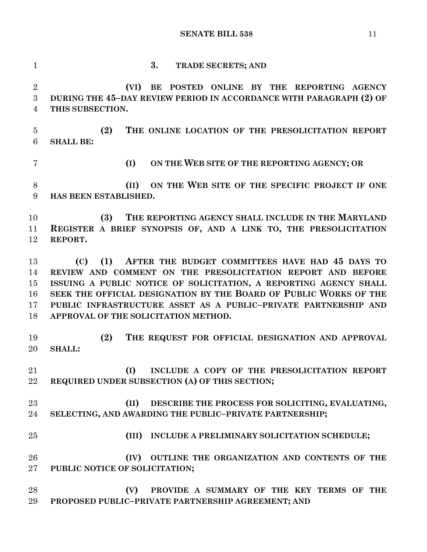**3. TRADE SECRETS; AND (VI) BE POSTED ONLINE BY THE REPORTING AGENCY DURING THE 45–DAY REVIEW PERIOD IN ACCORDANCE WITH PARAGRAPH (2) OF THIS SUBSECTION. (2) THE ONLINE LOCATION OF THE PRESOLICITATION REPORT SHALL BE: (I) ON THE WEB SITE OF THE REPORTING AGENCY; OR (II) ON THE WEB SITE OF THE SPECIFIC PROJECT IF ONE HAS BEEN ESTABLISHED. (3) THE REPORTING AGENCY SHALL INCLUDE IN THE MARYLAND REGISTER A BRIEF SYNOPSIS OF, AND A LINK TO, THE PRESOLICITATION REPORT. (C) (1) AFTER THE BUDGET COMMITTEES HAVE HAD 45 DAYS TO REVIEW AND COMMENT ON THE PRESOLICITATION REPORT AND BEFORE ISSUING A PUBLIC NOTICE OF SOLICITATION, A REPORTING AGENCY SHALL SEEK THE OFFICIAL DESIGNATION BY THE BOARD OF PUBLIC WORKS OF THE PUBLIC INFRASTRUCTURE ASSET AS A PUBLIC–PRIVATE PARTNERSHIP AND APPROVAL OF THE SOLICITATION METHOD. (2) THE REQUEST FOR OFFICIAL DESIGNATION AND APPROVAL SHALL: (I) INCLUDE A COPY OF THE PRESOLICITATION REPORT REQUIRED UNDER SUBSECTION (A) OF THIS SECTION; (II) DESCRIBE THE PROCESS FOR SOLICITING, EVALUATING, SELECTING, AND AWARDING THE PUBLIC–PRIVATE PARTNERSHIP; (III) INCLUDE A PRELIMINARY SOLICITATION SCHEDULE; (IV) OUTLINE THE ORGANIZATION AND CONTENTS OF THE PUBLIC NOTICE OF SOLICITATION; (V) PROVIDE A SUMMARY OF THE KEY TERMS OF THE PROPOSED PUBLIC–PRIVATE PARTNERSHIP AGREEMENT; AND**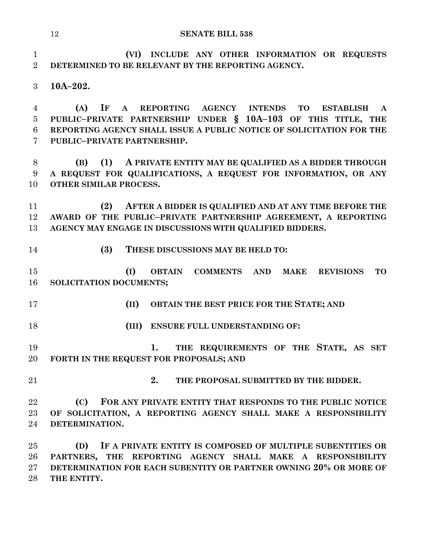**(VI) INCLUDE ANY OTHER INFORMATION OR REQUESTS DETERMINED TO BE RELEVANT BY THE REPORTING AGENCY.**

**10A–202.**

 **(A) IF A REPORTING AGENCY INTENDS TO ESTABLISH A PUBLIC–PRIVATE PARTNERSHIP UNDER § 10A–103 OF THIS TITLE, THE REPORTING AGENCY SHALL ISSUE A PUBLIC NOTICE OF SOLICITATION FOR THE PUBLIC–PRIVATE PARTNERSHIP.**

 **(B) (1) A PRIVATE ENTITY MAY BE QUALIFIED AS A BIDDER THROUGH A REQUEST FOR QUALIFICATIONS, A REQUEST FOR INFORMATION, OR ANY OTHER SIMILAR PROCESS.**

 **(2) AFTER A BIDDER IS QUALIFIED AND AT ANY TIME BEFORE THE AWARD OF THE PUBLIC–PRIVATE PARTNERSHIP AGREEMENT, A REPORTING AGENCY MAY ENGAGE IN DISCUSSIONS WITH QUALIFIED BIDDERS.**

**(3) THESE DISCUSSIONS MAY BE HELD TO:**

 **(I) OBTAIN COMMENTS AND MAKE REVISIONS TO SOLICITATION DOCUMENTS;**

- **(II) OBTAIN THE BEST PRICE FOR THE STATE; AND**
- **(III) ENSURE FULL UNDERSTANDING OF:**

 **1. THE REQUIREMENTS OF THE STATE, AS SET FORTH IN THE REQUEST FOR PROPOSALS; AND**

**2. THE PROPOSAL SUBMITTED BY THE BIDDER.**

 **(C) FOR ANY PRIVATE ENTITY THAT RESPONDS TO THE PUBLIC NOTICE OF SOLICITATION, A REPORTING AGENCY SHALL MAKE A RESPONSIBILITY DETERMINATION.**

 **(D) IF A PRIVATE ENTITY IS COMPOSED OF MULTIPLE SUBENTITIES OR PARTNERS, THE REPORTING AGENCY SHALL MAKE A RESPONSIBILITY DETERMINATION FOR EACH SUBENTITY OR PARTNER OWNING 20% OR MORE OF THE ENTITY.**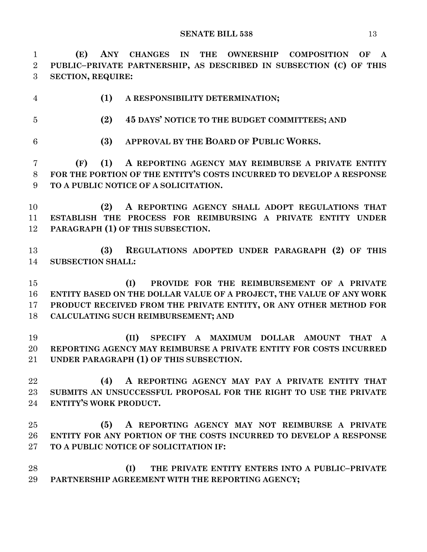**(E) ANY CHANGES IN THE OWNERSHIP COMPOSITION OF A PUBLIC–PRIVATE PARTNERSHIP, AS DESCRIBED IN SUBSECTION (C) OF THIS SECTION, REQUIRE: (1) A RESPONSIBILITY DETERMINATION; (2) 45 DAYS' NOTICE TO THE BUDGET COMMITTEES; AND (3) APPROVAL BY THE BOARD OF PUBLIC WORKS. (F) (1) A REPORTING AGENCY MAY REIMBURSE A PRIVATE ENTITY FOR THE PORTION OF THE ENTITY'S COSTS INCURRED TO DEVELOP A RESPONSE TO A PUBLIC NOTICE OF A SOLICITATION. (2) A REPORTING AGENCY SHALL ADOPT REGULATIONS THAT ESTABLISH THE PROCESS FOR REIMBURSING A PRIVATE ENTITY UNDER PARAGRAPH (1) OF THIS SUBSECTION. (3) REGULATIONS ADOPTED UNDER PARAGRAPH (2) OF THIS SUBSECTION SHALL: (I) PROVIDE FOR THE REIMBURSEMENT OF A PRIVATE ENTITY BASED ON THE DOLLAR VALUE OF A PROJECT, THE VALUE OF ANY WORK PRODUCT RECEIVED FROM THE PRIVATE ENTITY, OR ANY OTHER METHOD FOR CALCULATING SUCH REIMBURSEMENT; AND (II) SPECIFY A MAXIMUM DOLLAR AMOUNT THAT A REPORTING AGENCY MAY REIMBURSE A PRIVATE ENTITY FOR COSTS INCURRED UNDER PARAGRAPH (1) OF THIS SUBSECTION. (4) A REPORTING AGENCY MAY PAY A PRIVATE ENTITY THAT SUBMITS AN UNSUCCESSFUL PROPOSAL FOR THE RIGHT TO USE THE PRIVATE ENTITY'S WORK PRODUCT. (5) A REPORTING AGENCY MAY NOT REIMBURSE A PRIVATE ENTITY FOR ANY PORTION OF THE COSTS INCURRED TO DEVELOP A RESPONSE TO A PUBLIC NOTICE OF SOLICITATION IF:**

 **(I) THE PRIVATE ENTITY ENTERS INTO A PUBLIC–PRIVATE PARTNERSHIP AGREEMENT WITH THE REPORTING AGENCY;**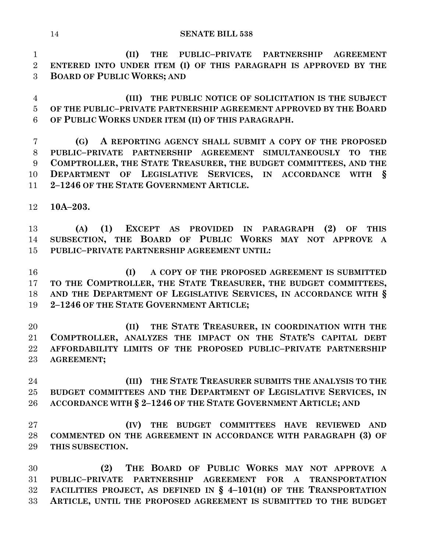**(II) THE PUBLIC–PRIVATE PARTNERSHIP AGREEMENT ENTERED INTO UNDER ITEM (I) OF THIS PARAGRAPH IS APPROVED BY THE BOARD OF PUBLIC WORKS; AND**

 **(III) THE PUBLIC NOTICE OF SOLICITATION IS THE SUBJECT OF THE PUBLIC–PRIVATE PARTNERSHIP AGREEMENT APPROVED BY THE BOARD OF PUBLIC WORKS UNDER ITEM (II) OF THIS PARAGRAPH.**

 **(G) A REPORTING AGENCY SHALL SUBMIT A COPY OF THE PROPOSED PUBLIC–PRIVATE PARTNERSHIP AGREEMENT SIMULTANEOUSLY TO THE COMPTROLLER, THE STATE TREASURER, THE BUDGET COMMITTEES, AND THE DEPARTMENT OF LEGISLATIVE SERVICES, IN ACCORDANCE WITH § 2–1246 OF THE STATE GOVERNMENT ARTICLE.**

**10A–203.**

 **(A) (1) EXCEPT AS PROVIDED IN PARAGRAPH (2) OF THIS SUBSECTION, THE BOARD OF PUBLIC WORKS MAY NOT APPROVE A PUBLIC–PRIVATE PARTNERSHIP AGREEMENT UNTIL:**

 **(I) A COPY OF THE PROPOSED AGREEMENT IS SUBMITTED TO THE COMPTROLLER, THE STATE TREASURER, THE BUDGET COMMITTEES, AND THE DEPARTMENT OF LEGISLATIVE SERVICES, IN ACCORDANCE WITH § 2–1246 OF THE STATE GOVERNMENT ARTICLE;**

 **(II) THE STATE TREASURER, IN COORDINATION WITH THE COMPTROLLER, ANALYZES THE IMPACT ON THE STATE'S CAPITAL DEBT AFFORDABILITY LIMITS OF THE PROPOSED PUBLIC–PRIVATE PARTNERSHIP AGREEMENT;**

 **(III) THE STATE TREASURER SUBMITS THE ANALYSIS TO THE BUDGET COMMITTEES AND THE DEPARTMENT OF LEGISLATIVE SERVICES, IN ACCORDANCE WITH § 2–1246 OF THE STATE GOVERNMENT ARTICLE; AND**

 **(IV) THE BUDGET COMMITTEES HAVE REVIEWED AND COMMENTED ON THE AGREEMENT IN ACCORDANCE WITH PARAGRAPH (3) OF THIS SUBSECTION.**

 **(2) THE BOARD OF PUBLIC WORKS MAY NOT APPROVE A PUBLIC–PRIVATE PARTNERSHIP AGREEMENT FOR A TRANSPORTATION FACILITIES PROJECT, AS DEFINED IN § 4–101(H) OF THE TRANSPORTATION ARTICLE, UNTIL THE PROPOSED AGREEMENT IS SUBMITTED TO THE BUDGET**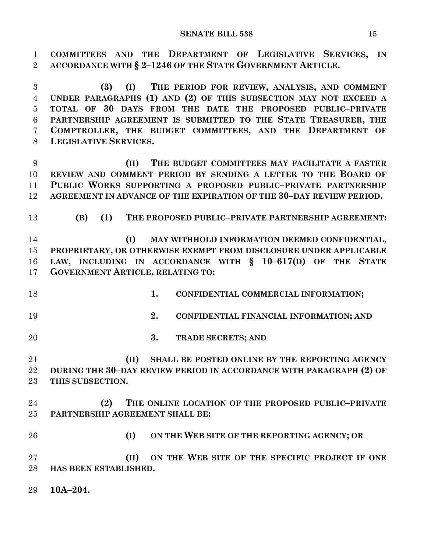**COMMITTEES AND THE DEPARTMENT OF LEGISLATIVE SERVICES, IN ACCORDANCE WITH § 2–1246 OF THE STATE GOVERNMENT ARTICLE. (3) (I) THE PERIOD FOR REVIEW, ANALYSIS, AND COMMENT UNDER PARAGRAPHS (1) AND (2) OF THIS SUBSECTION MAY NOT EXCEED A TOTAL OF 30 DAYS FROM THE DATE THE PROPOSED PUBLIC–PRIVATE PARTNERSHIP AGREEMENT IS SUBMITTED TO THE STATE TREASURER, THE COMPTROLLER, THE BUDGET COMMITTEES, AND THE DEPARTMENT OF LEGISLATIVE SERVICES. (II) THE BUDGET COMMITTEES MAY FACILITATE A FASTER REVIEW AND COMMENT PERIOD BY SENDING A LETTER TO THE BOARD OF PUBLIC WORKS SUPPORTING A PROPOSED PUBLIC–PRIVATE PARTNERSHIP AGREEMENT IN ADVANCE OF THE EXPIRATION OF THE 30–DAY REVIEW PERIOD. (B) (1) THE PROPOSED PUBLIC–PRIVATE PARTNERSHIP AGREEMENT: (I) MAY WITHHOLD INFORMATION DEEMED CONFIDENTIAL, PROPRIETARY, OR OTHERWISE EXEMPT FROM DISCLOSURE UNDER APPLICABLE LAW, INCLUDING IN ACCORDANCE WITH § 10–617(D) OF THE STATE GOVERNMENT ARTICLE, RELATING TO: 1. CONFIDENTIAL COMMERCIAL INFORMATION; 2. CONFIDENTIAL FINANCIAL INFORMATION; AND 3. TRADE SECRETS; AND (II) SHALL BE POSTED ONLINE BY THE REPORTING AGENCY DURING THE 30–DAY REVIEW PERIOD IN ACCORDANCE WITH PARAGRAPH (2) OF THIS SUBSECTION. (2) THE ONLINE LOCATION OF THE PROPOSED PUBLIC–PRIVATE PARTNERSHIP AGREEMENT SHALL BE: (I) ON THE WEB SITE OF THE REPORTING AGENCY; OR (II) ON THE WEB SITE OF THE SPECIFIC PROJECT IF ONE HAS BEEN ESTABLISHED. 10A–204.**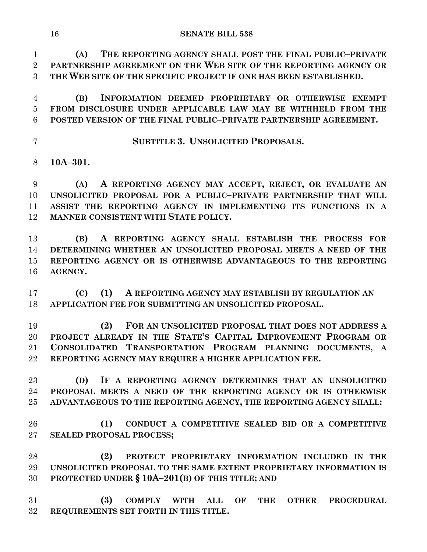**(A) THE REPORTING AGENCY SHALL POST THE FINAL PUBLIC–PRIVATE PARTNERSHIP AGREEMENT ON THE WEB SITE OF THE REPORTING AGENCY OR THE WEB SITE OF THE SPECIFIC PROJECT IF ONE HAS BEEN ESTABLISHED.**

 **(B) INFORMATION DEEMED PROPRIETARY OR OTHERWISE EXEMPT FROM DISCLOSURE UNDER APPLICABLE LAW MAY BE WITHHELD FROM THE POSTED VERSION OF THE FINAL PUBLIC–PRIVATE PARTNERSHIP AGREEMENT.**

**SUBTITLE 3. UNSOLICITED PROPOSALS.**

**10A–301.**

 **(A) A REPORTING AGENCY MAY ACCEPT, REJECT, OR EVALUATE AN UNSOLICITED PROPOSAL FOR A PUBLIC–PRIVATE PARTNERSHIP THAT WILL ASSIST THE REPORTING AGENCY IN IMPLEMENTING ITS FUNCTIONS IN A MANNER CONSISTENT WITH STATE POLICY.**

 **(B) A REPORTING AGENCY SHALL ESTABLISH THE PROCESS FOR DETERMINING WHETHER AN UNSOLICITED PROPOSAL MEETS A NEED OF THE REPORTING AGENCY OR IS OTHERWISE ADVANTAGEOUS TO THE REPORTING AGENCY.**

 **(C) (1) A REPORTING AGENCY MAY ESTABLISH BY REGULATION AN APPLICATION FEE FOR SUBMITTING AN UNSOLICITED PROPOSAL.**

 **(2) FOR AN UNSOLICITED PROPOSAL THAT DOES NOT ADDRESS A PROJECT ALREADY IN THE STATE'S CAPITAL IMPROVEMENT PROGRAM OR CONSOLIDATED TRANSPORTATION PROGRAM PLANNING DOCUMENTS, A REPORTING AGENCY MAY REQUIRE A HIGHER APPLICATION FEE.**

 **(D) IF A REPORTING AGENCY DETERMINES THAT AN UNSOLICITED PROPOSAL MEETS A NEED OF THE REPORTING AGENCY OR IS OTHERWISE ADVANTAGEOUS TO THE REPORTING AGENCY, THE REPORTING AGENCY SHALL:**

 **(1) CONDUCT A COMPETITIVE SEALED BID OR A COMPETITIVE SEALED PROPOSAL PROCESS;**

 **(2) PROTECT PROPRIETARY INFORMATION INCLUDED IN THE UNSOLICITED PROPOSAL TO THE SAME EXTENT PROPRIETARY INFORMATION IS PROTECTED UNDER § 10A–201(B) OF THIS TITLE; AND**

 **(3) COMPLY WITH ALL OF THE OTHER PROCEDURAL REQUIREMENTS SET FORTH IN THIS TITLE.**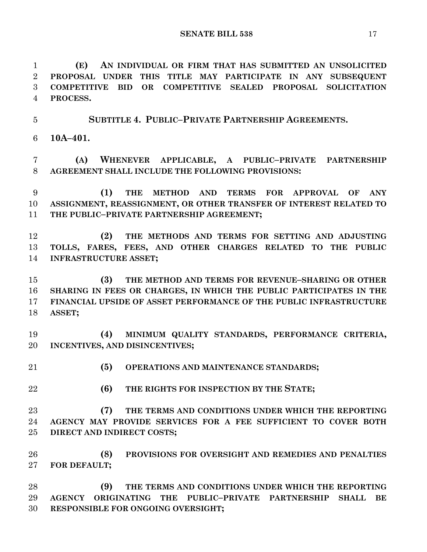**(E) AN INDIVIDUAL OR FIRM THAT HAS SUBMITTED AN UNSOLICITED PROPOSAL UNDER THIS TITLE MAY PARTICIPATE IN ANY SUBSEQUENT COMPETITIVE BID OR COMPETITIVE SEALED PROPOSAL SOLICITATION PROCESS.**

 **SUBTITLE 4. PUBLIC–PRIVATE PARTNERSHIP AGREEMENTS. 10A–401.**

 **(A) WHENEVER APPLICABLE, A PUBLIC–PRIVATE PARTNERSHIP AGREEMENT SHALL INCLUDE THE FOLLOWING PROVISIONS:**

 **(1) THE METHOD AND TERMS FOR APPROVAL OF ANY ASSIGNMENT, REASSIGNMENT, OR OTHER TRANSFER OF INTEREST RELATED TO THE PUBLIC–PRIVATE PARTNERSHIP AGREEMENT;**

 **(2) THE METHODS AND TERMS FOR SETTING AND ADJUSTING TOLLS, FARES, FEES, AND OTHER CHARGES RELATED TO THE PUBLIC INFRASTRUCTURE ASSET;**

 **(3) THE METHOD AND TERMS FOR REVENUE–SHARING OR OTHER SHARING IN FEES OR CHARGES, IN WHICH THE PUBLIC PARTICIPATES IN THE FINANCIAL UPSIDE OF ASSET PERFORMANCE OF THE PUBLIC INFRASTRUCTURE ASSET;**

 **(4) MINIMUM QUALITY STANDARDS, PERFORMANCE CRITERIA, INCENTIVES, AND DISINCENTIVES;**

**(5) OPERATIONS AND MAINTENANCE STANDARDS;**

**(6) THE RIGHTS FOR INSPECTION BY THE STATE;**

 **(7) THE TERMS AND CONDITIONS UNDER WHICH THE REPORTING AGENCY MAY PROVIDE SERVICES FOR A FEE SUFFICIENT TO COVER BOTH DIRECT AND INDIRECT COSTS;**

 **(8) PROVISIONS FOR OVERSIGHT AND REMEDIES AND PENALTIES FOR DEFAULT;**

 **(9) THE TERMS AND CONDITIONS UNDER WHICH THE REPORTING AGENCY ORIGINATING THE PUBLIC–PRIVATE PARTNERSHIP SHALL BE RESPONSIBLE FOR ONGOING OVERSIGHT;**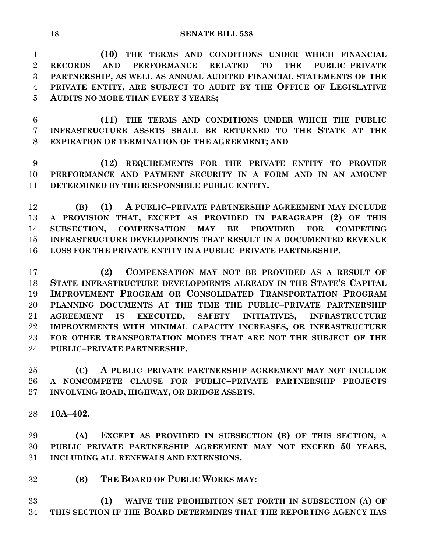**(10) THE TERMS AND CONDITIONS UNDER WHICH FINANCIAL RECORDS AND PERFORMANCE RELATED TO THE PUBLIC–PRIVATE PARTNERSHIP, AS WELL AS ANNUAL AUDITED FINANCIAL STATEMENTS OF THE PRIVATE ENTITY, ARE SUBJECT TO AUDIT BY THE OFFICE OF LEGISLATIVE AUDITS NO MORE THAN EVERY 3 YEARS;**

 **(11) THE TERMS AND CONDITIONS UNDER WHICH THE PUBLIC INFRASTRUCTURE ASSETS SHALL BE RETURNED TO THE STATE AT THE EXPIRATION OR TERMINATION OF THE AGREEMENT; AND**

 **(12) REQUIREMENTS FOR THE PRIVATE ENTITY TO PROVIDE PERFORMANCE AND PAYMENT SECURITY IN A FORM AND IN AN AMOUNT DETERMINED BY THE RESPONSIBLE PUBLIC ENTITY.**

 **(B) (1) A PUBLIC–PRIVATE PARTNERSHIP AGREEMENT MAY INCLUDE A PROVISION THAT, EXCEPT AS PROVIDED IN PARAGRAPH (2) OF THIS SUBSECTION, COMPENSATION MAY BE PROVIDED FOR COMPETING INFRASTRUCTURE DEVELOPMENTS THAT RESULT IN A DOCUMENTED REVENUE LOSS FOR THE PRIVATE ENTITY IN A PUBLIC–PRIVATE PARTNERSHIP.**

 **(2) COMPENSATION MAY NOT BE PROVIDED AS A RESULT OF STATE INFRASTRUCTURE DEVELOPMENTS ALREADY IN THE STATE'S CAPITAL IMPROVEMENT PROGRAM OR CONSOLIDATED TRANSPORTATION PROGRAM PLANNING DOCUMENTS AT THE TIME THE PUBLIC–PRIVATE PARTNERSHIP AGREEMENT IS EXECUTED, SAFETY INITIATIVES, INFRASTRUCTURE IMPROVEMENTS WITH MINIMAL CAPACITY INCREASES, OR INFRASTRUCTURE FOR OTHER TRANSPORTATION MODES THAT ARE NOT THE SUBJECT OF THE PUBLIC–PRIVATE PARTNERSHIP.**

 **(C) A PUBLIC–PRIVATE PARTNERSHIP AGREEMENT MAY NOT INCLUDE A NONCOMPETE CLAUSE FOR PUBLIC–PRIVATE PARTNERSHIP PROJECTS INVOLVING ROAD, HIGHWAY, OR BRIDGE ASSETS.**

**10A–402.**

 **(A) EXCEPT AS PROVIDED IN SUBSECTION (B) OF THIS SECTION, A PUBLIC–PRIVATE PARTNERSHIP AGREEMENT MAY NOT EXCEED 50 YEARS, INCLUDING ALL RENEWALS AND EXTENSIONS.**

**(B) THE BOARD OF PUBLIC WORKS MAY:**

 **(1) WAIVE THE PROHIBITION SET FORTH IN SUBSECTION (A) OF THIS SECTION IF THE BOARD DETERMINES THAT THE REPORTING AGENCY HAS**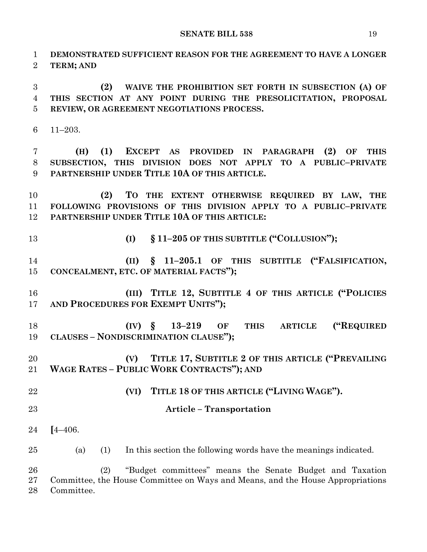**DEMONSTRATED SUFFICIENT REASON FOR THE AGREEMENT TO HAVE A LONGER TERM; AND (2) WAIVE THE PROHIBITION SET FORTH IN SUBSECTION (A) OF THIS SECTION AT ANY POINT DURING THE PRESOLICITATION, PROPOSAL REVIEW, OR AGREEMENT NEGOTIATIONS PROCESS.** 11–203. **(H) (1) EXCEPT AS PROVIDED IN PARAGRAPH (2) OF THIS SUBSECTION, THIS DIVISION DOES NOT APPLY TO A PUBLIC–PRIVATE PARTNERSHIP UNDER TITLE 10A OF THIS ARTICLE. (2) TO THE EXTENT OTHERWISE REQUIRED BY LAW, THE FOLLOWING PROVISIONS OF THIS DIVISION APPLY TO A PUBLIC–PRIVATE PARTNERSHIP UNDER TITLE 10A OF THIS ARTICLE: (I) § 11–205 OF THIS SUBTITLE ("COLLUSION"); (II) § 11–205.1 OF THIS SUBTITLE ("FALSIFICATION, CONCEALMENT, ETC. OF MATERIAL FACTS"); (III) TITLE 12, SUBTITLE 4 OF THIS ARTICLE ("POLICIES AND PROCEDURES FOR EXEMPT UNITS"); (IV) § 13–219 OF THIS ARTICLE ("REQUIRED CLAUSES – NONDISCRIMINATION CLAUSE"); (V) TITLE 17, SUBTITLE 2 OF THIS ARTICLE ("PREVAILING WAGE RATES – PUBLIC WORK CONTRACTS"); AND (VI) TITLE 18 OF THIS ARTICLE ("LIVING WAGE"). Article – Transportation [**4–406. (a) (1) In this section the following words have the meanings indicated. (2) "Budget committees" means the Senate Budget and Taxation Committee, the House Committee on Ways and Means, and the House Appropriations

Committee.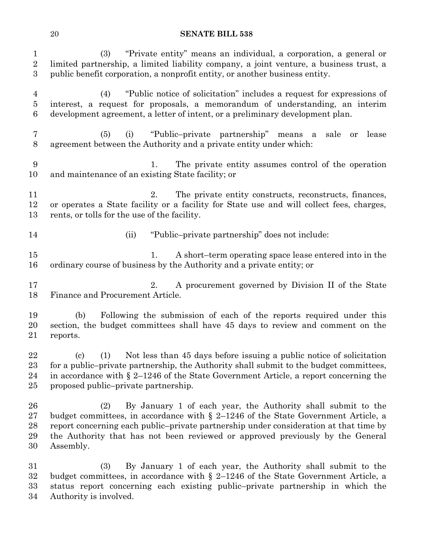| $\mathbf{1}$<br>$\overline{2}$<br>$\boldsymbol{3}$ | "Private entity" means an individual, a corporation, a general or<br>(3)<br>limited partnership, a limited liability company, a joint venture, a business trust, a<br>public benefit corporation, a nonprofit entity, or another business entity.                                                                                                   |
|----------------------------------------------------|-----------------------------------------------------------------------------------------------------------------------------------------------------------------------------------------------------------------------------------------------------------------------------------------------------------------------------------------------------|
| $\overline{4}$<br>$\bf 5$<br>6                     | "Public notice of solicitation" includes a request for expressions of<br>(4)<br>interest, a request for proposals, a memorandum of understanding, an interim<br>development agreement, a letter of intent, or a preliminary development plan.                                                                                                       |
| $\overline{7}$<br>$8\,$                            | "Public-private partnership" means a sale or<br>(5)<br>(i)<br>lease<br>agreement between the Authority and a private entity under which:                                                                                                                                                                                                            |
| 9<br>10                                            | The private entity assumes control of the operation<br>1.<br>and maintenance of an existing State facility; or                                                                                                                                                                                                                                      |
| 11<br>12<br>13                                     | 2.<br>The private entity constructs, reconstructs, finances,<br>or operates a State facility or a facility for State use and will collect fees, charges,<br>rents, or tolls for the use of the facility.                                                                                                                                            |
| 14                                                 | "Public-private partnership" does not include:<br>(ii)                                                                                                                                                                                                                                                                                              |
| 15<br>16                                           | A short-term operating space lease entered into in the<br>1.<br>ordinary course of business by the Authority and a private entity; or                                                                                                                                                                                                               |
| 17<br>18                                           | A procurement governed by Division II of the State<br>2.<br>Finance and Procurement Article.                                                                                                                                                                                                                                                        |
| 19<br>20<br>21                                     | Following the submission of each of the reports required under this<br>(b)<br>section, the budget committees shall have 45 days to review and comment on the<br>reports.                                                                                                                                                                            |
| 22<br>23<br>24<br>25                               | Not less than 45 days before issuing a public notice of solicitation<br>(1)<br>$\left( \mathrm{c} \right)$<br>for a public-private partnership, the Authority shall submit to the budget committees,<br>in accordance with $\S 2$ –1246 of the State Government Article, a report concerning the<br>proposed public-private partnership.            |
| 26<br>27<br>28<br>29<br>30                         | By January 1 of each year, the Authority shall submit to the<br>(2)<br>budget committees, in accordance with $\S$ 2-1246 of the State Government Article, a<br>report concerning each public-private partnership under consideration at that time by<br>the Authority that has not been reviewed or approved previously by the General<br>Assembly. |
| 31<br>32<br>33<br>34                               | (3)<br>By January 1 of each year, the Authority shall submit to the<br>budget committees, in accordance with $\S$ 2-1246 of the State Government Article, a<br>status report concerning each existing public-private partnership in which the<br>Authority is involved.                                                                             |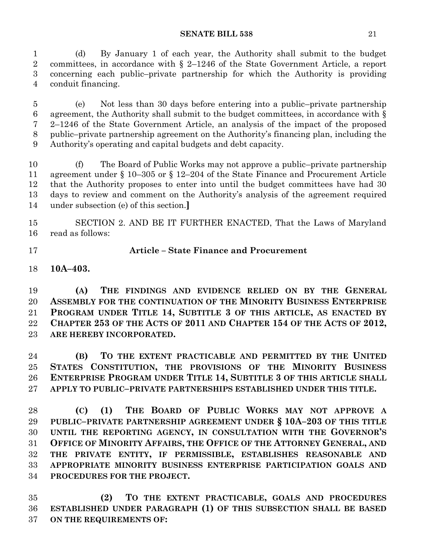(d) By January 1 of each year, the Authority shall submit to the budget committees, in accordance with § 2–1246 of the State Government Article, a report concerning each public–private partnership for which the Authority is providing conduit financing.

 (e) Not less than 30 days before entering into a public–private partnership agreement, the Authority shall submit to the budget committees, in accordance with § 2–1246 of the State Government Article, an analysis of the impact of the proposed public–private partnership agreement on the Authority's financing plan, including the Authority's operating and capital budgets and debt capacity.

 (f) The Board of Public Works may not approve a public–private partnership agreement under § 10–305 or § 12–204 of the State Finance and Procurement Article that the Authority proposes to enter into until the budget committees have had 30 days to review and comment on the Authority's analysis of the agreement required under subsection (e) of this section.**]**

 SECTION 2. AND BE IT FURTHER ENACTED, That the Laws of Maryland read as follows:

## **Article – State Finance and Procurement**

**10A–403.**

 **(A) THE FINDINGS AND EVIDENCE RELIED ON BY THE GENERAL ASSEMBLY FOR THE CONTINUATION OF THE MINORITY BUSINESS ENTERPRISE PROGRAM UNDER TITLE 14, SUBTITLE 3 OF THIS ARTICLE, AS ENACTED BY CHAPTER 253 OF THE ACTS OF 2011 AND CHAPTER 154 OF THE ACTS OF 2012, ARE HEREBY INCORPORATED.**

 **(B) TO THE EXTENT PRACTICABLE AND PERMITTED BY THE UNITED STATES CONSTITUTION, THE PROVISIONS OF THE MINORITY BUSINESS ENTERPRISE PROGRAM UNDER TITLE 14, SUBTITLE 3 OF THIS ARTICLE SHALL APPLY TO PUBLIC–PRIVATE PARTNERSHIPS ESTABLISHED UNDER THIS TITLE.**

 **(C) (1) THE BOARD OF PUBLIC WORKS MAY NOT APPROVE A PUBLIC–PRIVATE PARTNERSHIP AGREEMENT UNDER § 10A–203 OF THIS TITLE UNTIL THE REPORTING AGENCY, IN CONSULTATION WITH THE GOVERNOR'S OFFICE OF MINORITY AFFAIRS, THE OFFICE OF THE ATTORNEY GENERAL, AND THE PRIVATE ENTITY, IF PERMISSIBLE, ESTABLISHES REASONABLE AND APPROPRIATE MINORITY BUSINESS ENTERPRISE PARTICIPATION GOALS AND PROCEDURES FOR THE PROJECT.**

 **(2) TO THE EXTENT PRACTICABLE, GOALS AND PROCEDURES ESTABLISHED UNDER PARAGRAPH (1) OF THIS SUBSECTION SHALL BE BASED ON THE REQUIREMENTS OF:**